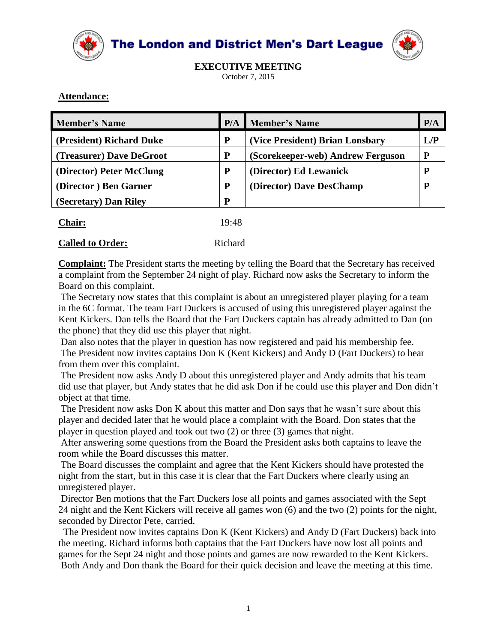

The London and District Men's Dart League



**EXECUTIVE MEETING** October 7, 2015

## **Attendance:**

|   |                                   | P/A                      |
|---|-----------------------------------|--------------------------|
| P | (Vice President) Brian Lonsbary   | L/P                      |
| P | (Scorekeeper-web) Andrew Ferguson |                          |
|   | (Director) Ed Lewanick            |                          |
| D | (Director) Dave DesChamp          |                          |
| D |                                   |                          |
|   |                                   | <b>P/A</b> Member's Name |

| <b>Chair:</b> | 19:48 |
|---------------|-------|
|---------------|-------|

## **Called to Order:** Richard

**Complaint:** The President starts the meeting by telling the Board that the Secretary has received a complaint from the September 24 night of play. Richard now asks the Secretary to inform the Board on this complaint.

The Secretary now states that this complaint is about an unregistered player playing for a team in the 6C format. The team Fart Duckers is accused of using this unregistered player against the Kent Kickers. Dan tells the Board that the Fart Duckers captain has already admitted to Dan (on the phone) that they did use this player that night.

Dan also notes that the player in question has now registered and paid his membership fee. The President now invites captains Don K (Kent Kickers) and Andy D (Fart Duckers) to hear from them over this complaint.

The President now asks Andy D about this unregistered player and Andy admits that his team did use that player, but Andy states that he did ask Don if he could use this player and Don didn't object at that time.

The President now asks Don K about this matter and Don says that he wasn't sure about this player and decided later that he would place a complaint with the Board. Don states that the player in question played and took out two (2) or three (3) games that night.

After answering some questions from the Board the President asks both captains to leave the room while the Board discusses this matter.

The Board discusses the complaint and agree that the Kent Kickers should have protested the night from the start, but in this case it is clear that the Fart Duckers where clearly using an unregistered player.

Director Ben motions that the Fart Duckers lose all points and games associated with the Sept 24 night and the Kent Kickers will receive all games won (6) and the two (2) points for the night, seconded by Director Pete, carried.

The President now invites captains Don K (Kent Kickers) and Andy D (Fart Duckers) back into the meeting. Richard informs both captains that the Fart Duckers have now lost all points and games for the Sept 24 night and those points and games are now rewarded to the Kent Kickers. Both Andy and Don thank the Board for their quick decision and leave the meeting at this time.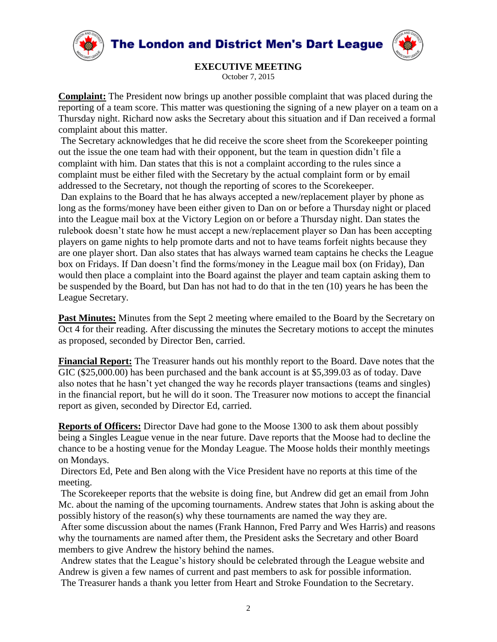



**EXECUTIVE MEETING** October 7, 2015

**Complaint:** The President now brings up another possible complaint that was placed during the reporting of a team score. This matter was questioning the signing of a new player on a team on a Thursday night. Richard now asks the Secretary about this situation and if Dan received a formal complaint about this matter.

The Secretary acknowledges that he did receive the score sheet from the Scorekeeper pointing out the issue the one team had with their opponent, but the team in question didn't file a complaint with him. Dan states that this is not a complaint according to the rules since a complaint must be either filed with the Secretary by the actual complaint form or by email addressed to the Secretary, not though the reporting of scores to the Scorekeeper. Dan explains to the Board that he has always accepted a new/replacement player by phone as

long as the forms/money have been either given to Dan on or before a Thursday night or placed into the League mail box at the Victory Legion on or before a Thursday night. Dan states the rulebook doesn't state how he must accept a new/replacement player so Dan has been accepting players on game nights to help promote darts and not to have teams forfeit nights because they are one player short. Dan also states that has always warned team captains he checks the League box on Fridays. If Dan doesn't find the forms/money in the League mail box (on Friday), Dan would then place a complaint into the Board against the player and team captain asking them to be suspended by the Board, but Dan has not had to do that in the ten (10) years he has been the League Secretary.

Past Minutes: Minutes from the Sept 2 meeting where emailed to the Board by the Secretary on Oct 4 for their reading. After discussing the minutes the Secretary motions to accept the minutes as proposed, seconded by Director Ben, carried.

**Financial Report:** The Treasurer hands out his monthly report to the Board. Dave notes that the GIC (\$25,000.00) has been purchased and the bank account is at \$5,399.03 as of today. Dave also notes that he hasn't yet changed the way he records player transactions (teams and singles) in the financial report, but he will do it soon. The Treasurer now motions to accept the financial report as given, seconded by Director Ed, carried.

**Reports of Officers:** Director Dave had gone to the Moose 1300 to ask them about possibly being a Singles League venue in the near future. Dave reports that the Moose had to decline the chance to be a hosting venue for the Monday League. The Moose holds their monthly meetings on Mondays.

Directors Ed, Pete and Ben along with the Vice President have no reports at this time of the meeting.

The Scorekeeper reports that the website is doing fine, but Andrew did get an email from John Mc. about the naming of the upcoming tournaments. Andrew states that John is asking about the possibly history of the reason(s) why these tournaments are named the way they are.

After some discussion about the names (Frank Hannon, Fred Parry and Wes Harris) and reasons why the tournaments are named after them, the President asks the Secretary and other Board members to give Andrew the history behind the names.

Andrew states that the League's history should be celebrated through the League website and Andrew is given a few names of current and past members to ask for possible information. The Treasurer hands a thank you letter from Heart and Stroke Foundation to the Secretary.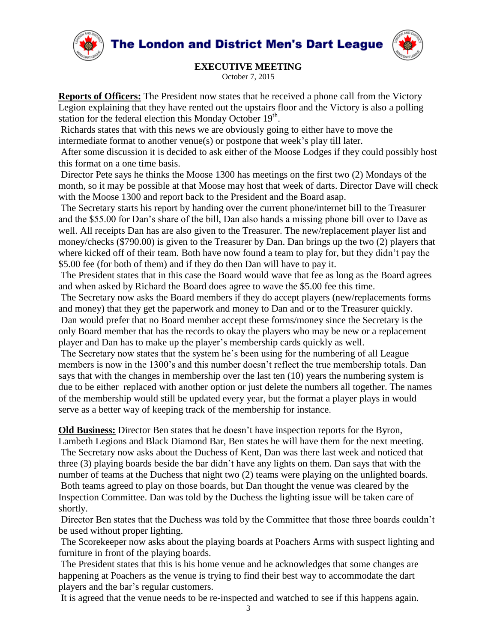**The London and District Men's Dart League** 





## **EXECUTIVE MEETING**

October 7, 2015

**Reports of Officers:** The President now states that he received a phone call from the Victory Legion explaining that they have rented out the upstairs floor and the Victory is also a polling station for the federal election this Monday October 19<sup>th</sup>.

Richards states that with this news we are obviously going to either have to move the intermediate format to another venue(s) or postpone that week's play till later.

After some discussion it is decided to ask either of the Moose Lodges if they could possibly host this format on a one time basis.

Director Pete says he thinks the Moose 1300 has meetings on the first two (2) Mondays of the month, so it may be possible at that Moose may host that week of darts. Director Dave will check with the Moose 1300 and report back to the President and the Board asap.

The Secretary starts his report by handing over the current phone/internet bill to the Treasurer and the \$55.00 for Dan's share of the bill, Dan also hands a missing phone bill over to Dave as well. All receipts Dan has are also given to the Treasurer. The new/replacement player list and money/checks (\$790.00) is given to the Treasurer by Dan. Dan brings up the two (2) players that where kicked off of their team. Both have now found a team to play for, but they didn't pay the \$5.00 fee (for both of them) and if they do then Dan will have to pay it.

The President states that in this case the Board would wave that fee as long as the Board agrees and when asked by Richard the Board does agree to wave the \$5.00 fee this time.

The Secretary now asks the Board members if they do accept players (new/replacements forms and money) that they get the paperwork and money to Dan and or to the Treasurer quickly. Dan would prefer that no Board member accept these forms/money since the Secretary is the only Board member that has the records to okay the players who may be new or a replacement player and Dan has to make up the player's membership cards quickly as well.

The Secretary now states that the system he's been using for the numbering of all League members is now in the 1300's and this number doesn't reflect the true membership totals. Dan says that with the changes in membership over the last ten (10) years the numbering system is due to be either replaced with another option or just delete the numbers all together. The names of the membership would still be updated every year, but the format a player plays in would serve as a better way of keeping track of the membership for instance.

**Old Business:** Director Ben states that he doesn't have inspection reports for the Byron,

Lambeth Legions and Black Diamond Bar, Ben states he will have them for the next meeting. The Secretary now asks about the Duchess of Kent, Dan was there last week and noticed that three (3) playing boards beside the bar didn't have any lights on them. Dan says that with the number of teams at the Duchess that night two (2) teams were playing on the unlighted boards.

Both teams agreed to play on those boards, but Dan thought the venue was cleared by the Inspection Committee. Dan was told by the Duchess the lighting issue will be taken care of shortly.

Director Ben states that the Duchess was told by the Committee that those three boards couldn't be used without proper lighting.

The Scorekeeper now asks about the playing boards at Poachers Arms with suspect lighting and furniture in front of the playing boards.

The President states that this is his home venue and he acknowledges that some changes are happening at Poachers as the venue is trying to find their best way to accommodate the dart players and the bar's regular customers.

It is agreed that the venue needs to be re-inspected and watched to see if this happens again.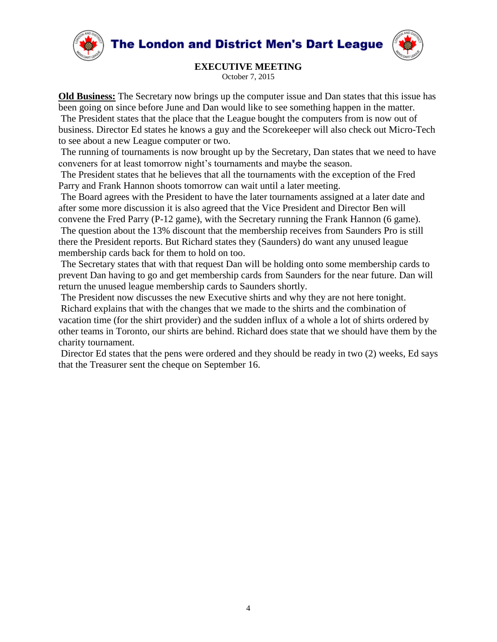**The London and District Men's Dart League** 





**EXECUTIVE MEETING**

October 7, 2015

**Old Business:** The Secretary now brings up the computer issue and Dan states that this issue has been going on since before June and Dan would like to see something happen in the matter. The President states that the place that the League bought the computers from is now out of business. Director Ed states he knows a guy and the Scorekeeper will also check out Micro-Tech to see about a new League computer or two.

The running of tournaments is now brought up by the Secretary, Dan states that we need to have conveners for at least tomorrow night's tournaments and maybe the season.

The President states that he believes that all the tournaments with the exception of the Fred Parry and Frank Hannon shoots tomorrow can wait until a later meeting.

The Board agrees with the President to have the later tournaments assigned at a later date and after some more discussion it is also agreed that the Vice President and Director Ben will convene the Fred Parry (P-12 game), with the Secretary running the Frank Hannon (6 game).

The question about the 13% discount that the membership receives from Saunders Pro is still there the President reports. But Richard states they (Saunders) do want any unused league membership cards back for them to hold on too.

The Secretary states that with that request Dan will be holding onto some membership cards to prevent Dan having to go and get membership cards from Saunders for the near future. Dan will return the unused league membership cards to Saunders shortly.

The President now discusses the new Executive shirts and why they are not here tonight. Richard explains that with the changes that we made to the shirts and the combination of vacation time (for the shirt provider) and the sudden influx of a whole a lot of shirts ordered by other teams in Toronto, our shirts are behind. Richard does state that we should have them by the charity tournament.

Director Ed states that the pens were ordered and they should be ready in two (2) weeks, Ed says that the Treasurer sent the cheque on September 16.